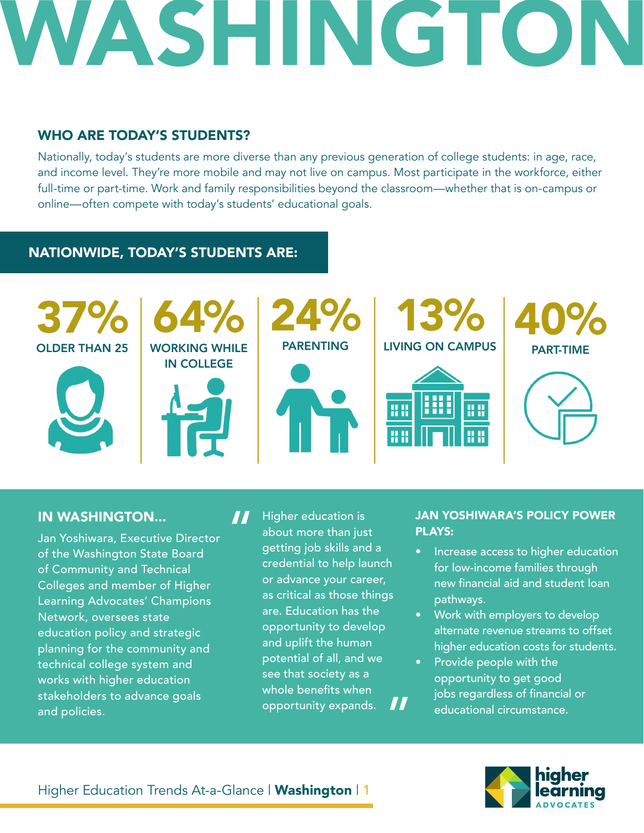## WASHINGTON

#### WHO ARE TODAY'S STUDENTS?

Nationally, today's students are more diverse than any previous generation of college students: in age, race, and income level. They're more mobile and may not live on campus. Most participate in the workforce, either full-time or part-time. Work and family responsibilities beyond the classroom—whether that is on-campus or online—often compete with today's students' educational goals.

#### NATIONWIDE, TODAY'S STUDENTS ARE:



#### IN WASHINGTON...

Jan Yoshiwara, Executive Director of the Washington State Board of Community and Technical Colleges and member of Higher Learning Advocates' Champions Network, oversees state education policy and strategic planning for the community and technical college system and works with higher education stakeholders to advance goals and policies.

Higher education is about more than just getting job skills and a credential to help launch or advance your career, as critical as those things are. Education has the opportunity to develop and uplift the human potential of all, and we see that society as a whole benefits when opportunity expands. " "

#### JAN YOSHIWARA'S POLICY POWER PLAYS:

- Increase access to higher education for low-income families through new financial aid and student loan pathways.
- Work with employers to develop alternate revenue streams to offset higher education costs for students.
- Provide people with the opportunity to get good jobs regardless of financial or educational circumstance.



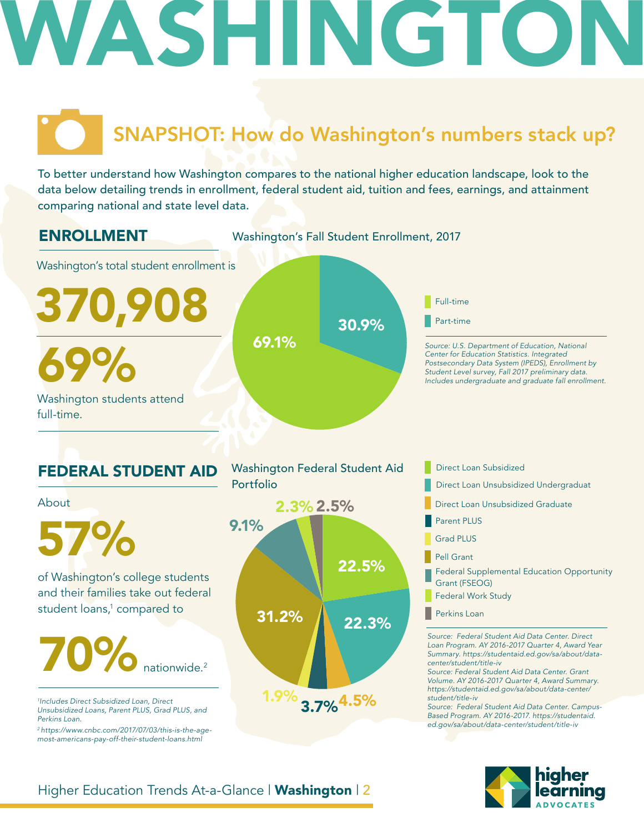## WASHING

## SNAPSHOT: How do Washington's numbers stack up?

To better understand how Washington compares to the national higher education landscape, look to the data below detailing trends in enrollment, federal student aid, tuition and fees, earnings, and attainment comparing national and state level data.

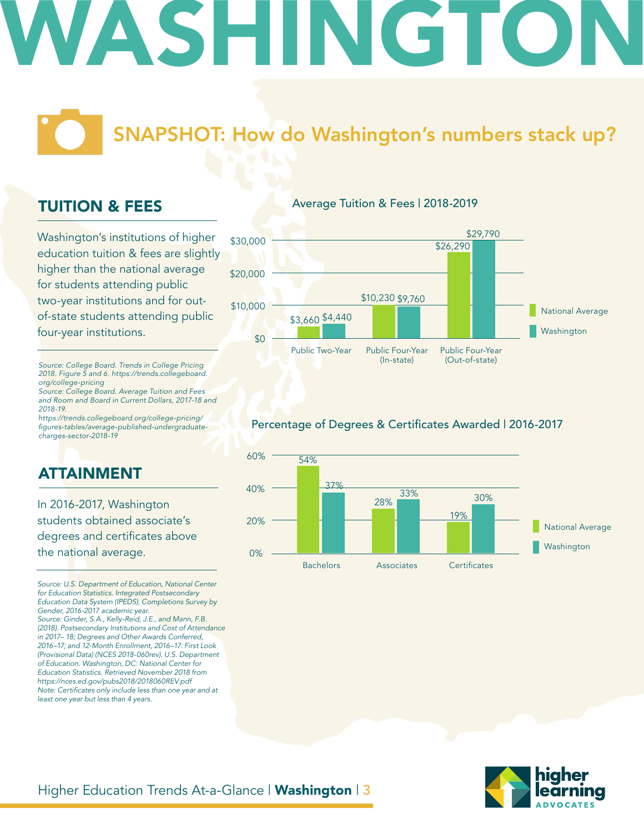## ASHING

### SNAPSHOT: How do Washington's numbers stack up?

#### TUITION & FEES

Washington's institutions of higher education tuition & fees are slightly higher than the national average for students attending public two-year institutions and for outof-state students attending public four-year institutions.

Average Tuition & Fees | 2018-2019



*org/college-pricing Source: College Board. Average Tuition and Fees* 

*and Room and Board in Current Dollars, 2017-18 and 2018-19. https://trends.collegeboard.org/college-pricing/*

*Source: College Board. Trends in College Pricing 2018. Figure 5 and 6. https://trends.collegeboard.*

figures-tables/average-published-undergraduate*charges-sector-2018-19*

#### ATTAINMENT

In 2016-2017, Washington students obtained associate's degrees and certificates above the national average.

*Source: U.S. Department of Education, National Center for Education Statistics. Integrated Postsecondary Education Data System (IPEDS), Completions Survey by Gender, 2016-2017 academic year.* 

*Source: Ginder, S.A., Kelly-Reid, J.E., and Mann, F.B. (2018). Postsecondary Institutions and Cost of Attendance in 2017– 18; Degrees and Other Awards Conferred, 2016–17; and 12-Month Enrollment, 2016–17: First Look (Provisional Data) (NCES 2018-060rev). U.S. Department of Education. Washington, DC: National Center for Education Statistics. Retrieved November 2018 from https://nces.ed.gov/pubs2018/2018060REV.pdf* Note: Certificates only include less than one year and at *least one year but less than 4 years.* 

#### Percentage of Degrees & Certificates Awarded | 2016-2017



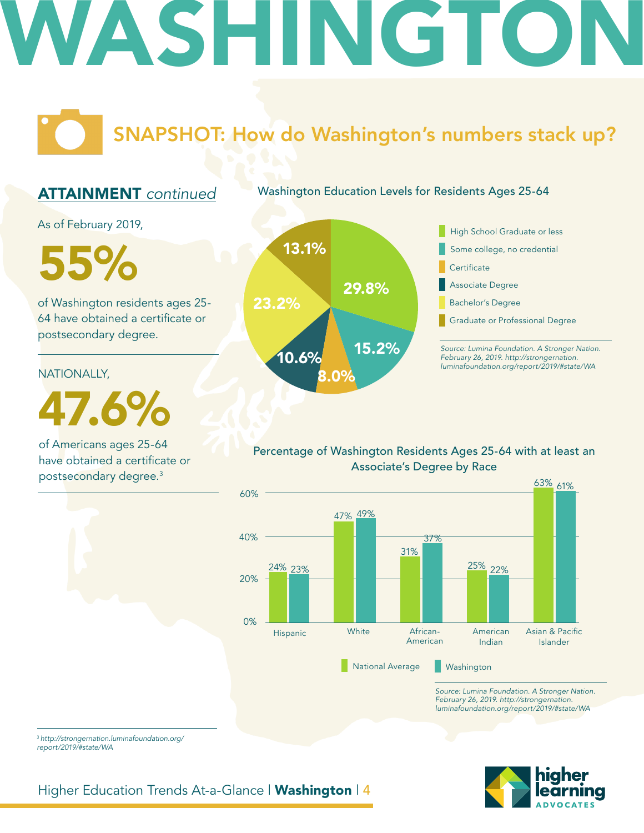## WASHINGTO

### SNAPSHOT: How do Washington's numbers stack up?

#### ATTAINMENT *continued*

Washington Education Levels for Residents Ages 25-64

As of February 2019,

of Washington residents ages 25- 64 have obtained a certificate or postsecondary degree.

NATIONALLY,

47.6%

of Americans ages 25-64 have obtained a certificate or postsecondary degree.3





#### Percentage of Washington Residents Ages 25-64 with at least an Associate's Degree by Race



*Source: Lumina Foundation. A Stronger Nation. February 26, 2019. http://strongernation. luminafoundation.org/report/2019/#state/WA*



<sup>3</sup>*http://strongernation.luminafoundation.org/ report/2019/#state/WA*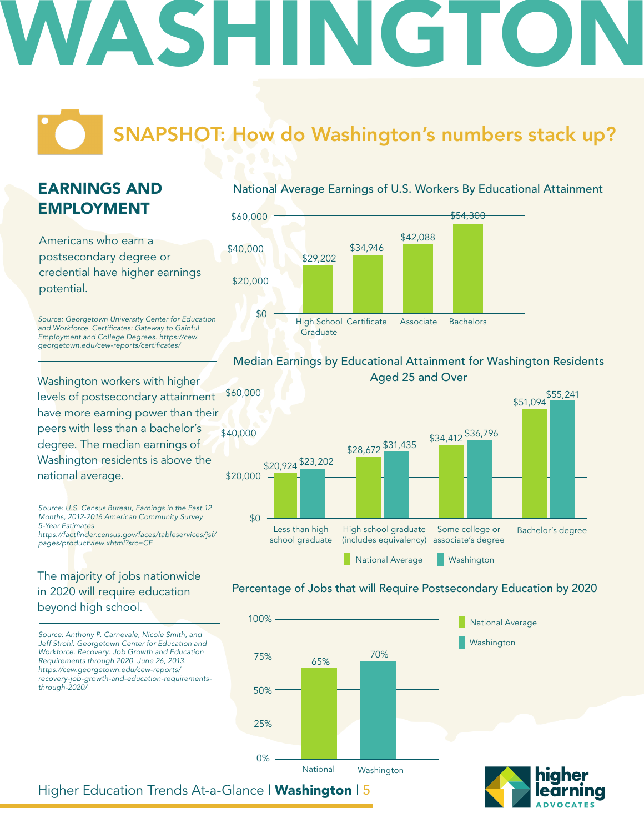# WASHINGTON

### SNAPSHOT: How do Washington's numbers stack up?

### EARNINGS AND EMPLOYMENT

Americans who earn a postsecondary degree or credential have higher earnings potential.

*Source: Georgetown University Center for Education*  and Workforce. Certificates: Gateway to Gainful *Employment and College Degrees. https://cew.* georgetown.edu/cew-reports/certificates/

Washington workers with higher levels of postsecondary attainment have more earning power than their peers with less than a bachelor's degree. The median earnings of Washington residents is above the national average.

*Source: U.S. Census Bureau, Earnings in the Past 12 Months, 2012-2016 American Community Survey 5-Year Estimates.* https://factfinder.census.gov/faces/tableservices/jsf/

*pages/productview.xhtml?src=CF*

#### The majority of jobs nationwide in 2020 will require education beyond high school.

*Source: Anthony P. Carnevale, Nicole Smith, and Jeff Strohl. Georgetown Center for Education and Workforce. Recovery: Job Growth and Education Requirements through 2020. June 26, 2013. https://cew.georgetown.edu/cew-reports/ recovery-job-growth-and-education-requirementsthrough-2020/*

#### National Average Earnings of U.S. Workers By Educational Attainment



#### Median Earnings by Educational Attainment for Washington Residents Aged 25 and Over



#### Percentage of Jobs that will Require Postsecondary Education by 2020